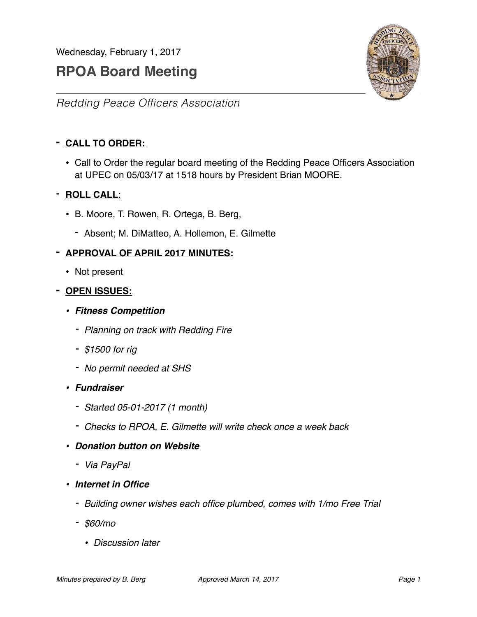Wednesday, February 1, 2017

# **RPOA Board Meeting**



*Redding Peace Officers Association*

# **- CALL TO ORDER:**

• Call to Order the regular board meeting of the Redding Peace Officers Association at UPEC on 05/03/17 at 1518 hours by President Brian MOORE.

## - **ROLL CALL**:

- B. Moore, T. Rowen, R. Ortega, B. Berg,
	- Absent; M. DiMatteo, A. Hollemon, E. Gilmette

#### **- APPROVAL OF APRIL 2017 MINUTES:**

• Not present

#### **- OPEN ISSUES:**

- *• Fitness Competition*
	- *- Planning on track with Redding Fire*
	- *- \$1500 for rig*
	- *- No permit needed at SHS*
- *• Fundraiser*
	- *- Started 05-01-2017 (1 month)*
	- *- Checks to RPOA, E. Gilmette will write check once a week back*
- *• Donation button on Website*
	- *- Via PayPal*
- *• Internet in Office*
	- *- Building owner wishes each office plumbed, comes with 1/mo Free Trial*
	- *- \$60/mo*
		- *• Discussion later*